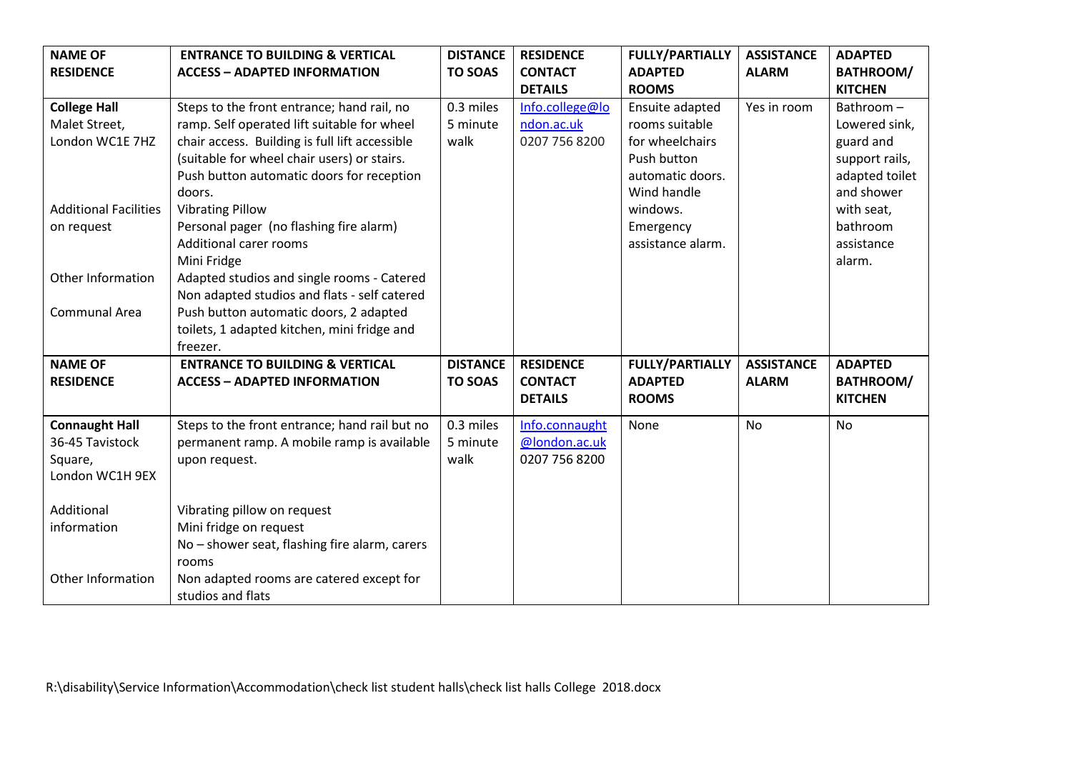| <b>NAME OF</b>               | <b>ENTRANCE TO BUILDING &amp; VERTICAL</b>     | <b>DISTANCE</b> | <b>RESIDENCE</b> | <b>FULLY/PARTIALLY</b> | <b>ASSISTANCE</b> | <b>ADAPTED</b>   |
|------------------------------|------------------------------------------------|-----------------|------------------|------------------------|-------------------|------------------|
| <b>RESIDENCE</b>             | <b>ACCESS - ADAPTED INFORMATION</b>            | <b>TO SOAS</b>  | <b>CONTACT</b>   | <b>ADAPTED</b>         | <b>ALARM</b>      | <b>BATHROOM/</b> |
|                              |                                                |                 | <b>DETAILS</b>   | <b>ROOMS</b>           |                   | <b>KITCHEN</b>   |
| <b>College Hall</b>          | Steps to the front entrance; hand rail, no     | 0.3 miles       | Info.college@lo  | Ensuite adapted        | Yes in room       | Bathroom-        |
| Malet Street,                | ramp. Self operated lift suitable for wheel    | 5 minute        | ndon.ac.uk       | rooms suitable         |                   | Lowered sink,    |
| London WC1E 7HZ              | chair access. Building is full lift accessible | walk            | 0207 756 8200    | for wheelchairs        |                   | guard and        |
|                              | (suitable for wheel chair users) or stairs.    |                 |                  | Push button            |                   | support rails,   |
|                              | Push button automatic doors for reception      |                 |                  | automatic doors.       |                   | adapted toilet   |
|                              | doors.                                         |                 |                  | Wind handle            |                   | and shower       |
| <b>Additional Facilities</b> | <b>Vibrating Pillow</b>                        |                 |                  | windows.               |                   | with seat,       |
| on request                   | Personal pager (no flashing fire alarm)        |                 |                  | Emergency              |                   | bathroom         |
|                              | Additional carer rooms                         |                 |                  | assistance alarm.      |                   | assistance       |
|                              | Mini Fridge                                    |                 |                  |                        |                   | alarm.           |
| Other Information            | Adapted studios and single rooms - Catered     |                 |                  |                        |                   |                  |
|                              | Non adapted studios and flats - self catered   |                 |                  |                        |                   |                  |
| Communal Area                | Push button automatic doors, 2 adapted         |                 |                  |                        |                   |                  |
|                              | toilets, 1 adapted kitchen, mini fridge and    |                 |                  |                        |                   |                  |
|                              | freezer.                                       |                 |                  |                        |                   |                  |
| <b>NAME OF</b>               | <b>ENTRANCE TO BUILDING &amp; VERTICAL</b>     | <b>DISTANCE</b> | <b>RESIDENCE</b> | <b>FULLY/PARTIALLY</b> | <b>ASSISTANCE</b> | <b>ADAPTED</b>   |
| <b>RESIDENCE</b>             | <b>ACCESS - ADAPTED INFORMATION</b>            | <b>TO SOAS</b>  | <b>CONTACT</b>   | <b>ADAPTED</b>         | <b>ALARM</b>      | <b>BATHROOM/</b> |
|                              |                                                |                 | <b>DETAILS</b>   | <b>ROOMS</b>           |                   | <b>KITCHEN</b>   |
| <b>Connaught Hall</b>        | Steps to the front entrance; hand rail but no  | 0.3 miles       | Info.connaught   | None                   | No                | <b>No</b>        |
| 36-45 Tavistock              | permanent ramp. A mobile ramp is available     | 5 minute        | @london.ac.uk    |                        |                   |                  |
| Square,                      | upon request.                                  | walk            | 0207 756 8200    |                        |                   |                  |
| London WC1H 9EX              |                                                |                 |                  |                        |                   |                  |
|                              |                                                |                 |                  |                        |                   |                  |
| Additional                   | Vibrating pillow on request                    |                 |                  |                        |                   |                  |
| information                  | Mini fridge on request                         |                 |                  |                        |                   |                  |
|                              | No - shower seat, flashing fire alarm, carers  |                 |                  |                        |                   |                  |
|                              | rooms                                          |                 |                  |                        |                   |                  |
| Other Information            | Non adapted rooms are catered except for       |                 |                  |                        |                   |                  |
|                              | studios and flats                              |                 |                  |                        |                   |                  |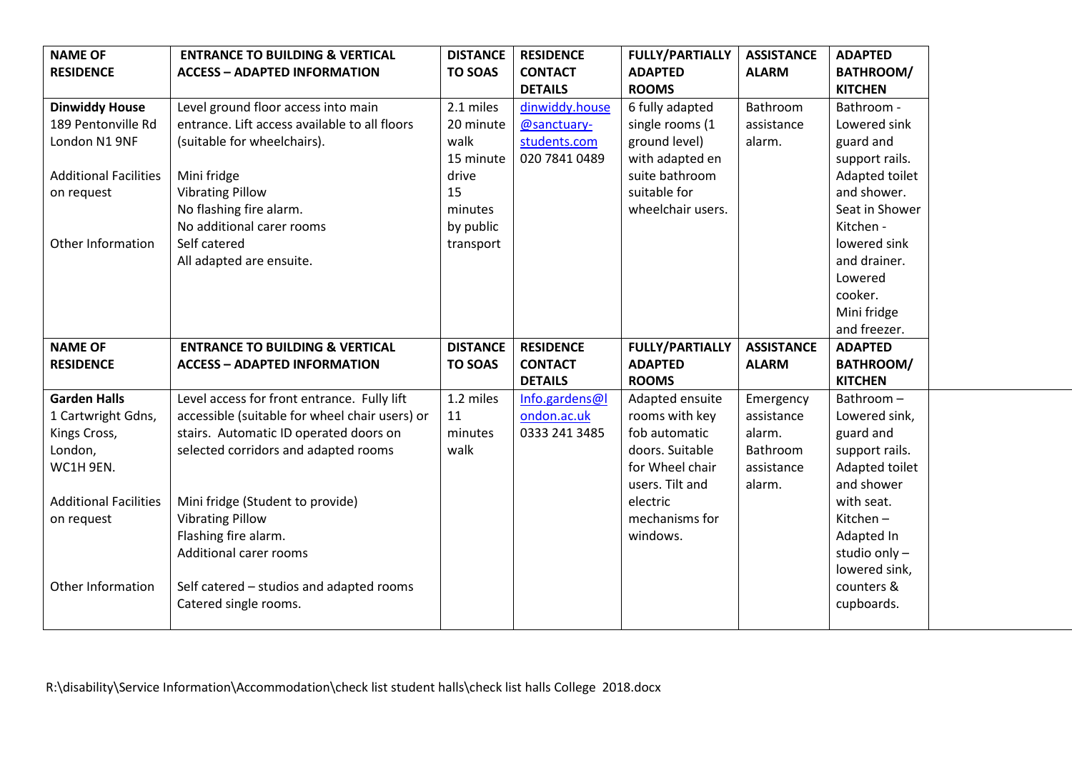| <b>NAME OF</b><br><b>RESIDENCE</b> | <b>ENTRANCE TO BUILDING &amp; VERTICAL</b><br><b>ACCESS - ADAPTED INFORMATION</b> | <b>DISTANCE</b><br><b>TO SOAS</b> | <b>RESIDENCE</b><br><b>CONTACT</b><br><b>DETAILS</b> | <b>FULLY/PARTIALLY</b><br><b>ADAPTED</b><br><b>ROOMS</b> | <b>ASSISTANCE</b><br><b>ALARM</b> | <b>ADAPTED</b><br><b>BATHROOM/</b><br><b>KITCHEN</b> |
|------------------------------------|-----------------------------------------------------------------------------------|-----------------------------------|------------------------------------------------------|----------------------------------------------------------|-----------------------------------|------------------------------------------------------|
| <b>Dinwiddy House</b>              | Level ground floor access into main                                               | 2.1 miles                         | dinwiddy.house                                       | 6 fully adapted                                          | Bathroom                          | Bathroom -                                           |
| 189 Pentonville Rd                 | entrance. Lift access available to all floors                                     | 20 minute                         | @sanctuary-                                          | single rooms (1                                          | assistance                        | Lowered sink                                         |
| London N1 9NF                      | (suitable for wheelchairs).                                                       | walk                              | students.com                                         | ground level)                                            | alarm.                            | guard and                                            |
|                                    |                                                                                   | 15 minute                         | 020 7841 0489                                        | with adapted en                                          |                                   | support rails.                                       |
| <b>Additional Facilities</b>       | Mini fridge                                                                       | drive                             |                                                      | suite bathroom                                           |                                   | Adapted toilet                                       |
| on request                         | <b>Vibrating Pillow</b>                                                           | 15                                |                                                      | suitable for                                             |                                   | and shower.                                          |
|                                    | No flashing fire alarm.                                                           | minutes                           |                                                      | wheelchair users.                                        |                                   | Seat in Shower                                       |
|                                    | No additional carer rooms                                                         | by public                         |                                                      |                                                          |                                   | Kitchen -                                            |
| Other Information                  | Self catered                                                                      | transport                         |                                                      |                                                          |                                   | lowered sink                                         |
|                                    | All adapted are ensuite.                                                          |                                   |                                                      |                                                          |                                   | and drainer.                                         |
|                                    |                                                                                   |                                   |                                                      |                                                          |                                   | Lowered                                              |
|                                    |                                                                                   |                                   |                                                      |                                                          |                                   | cooker.                                              |
|                                    |                                                                                   |                                   |                                                      |                                                          |                                   | Mini fridge                                          |
|                                    |                                                                                   |                                   |                                                      |                                                          |                                   | and freezer.                                         |
| <b>NAME OF</b>                     | <b>ENTRANCE TO BUILDING &amp; VERTICAL</b>                                        | <b>DISTANCE</b>                   | <b>RESIDENCE</b>                                     | <b>FULLY/PARTIALLY</b>                                   | <b>ASSISTANCE</b>                 | <b>ADAPTED</b>                                       |
| <b>RESIDENCE</b>                   | <b>ACCESS - ADAPTED INFORMATION</b>                                               | <b>TO SOAS</b>                    | <b>CONTACT</b>                                       | <b>ADAPTED</b>                                           | <b>ALARM</b>                      | <b>BATHROOM/</b>                                     |
|                                    |                                                                                   |                                   | <b>DETAILS</b>                                       | <b>ROOMS</b>                                             |                                   | <b>KITCHEN</b>                                       |
| <b>Garden Halls</b>                |                                                                                   |                                   |                                                      |                                                          |                                   |                                                      |
|                                    | Level access for front entrance. Fully lift                                       | 1.2 miles                         | Info.gardens@l                                       | Adapted ensuite                                          | Emergency                         | Bathroom-                                            |
| 1 Cartwright Gdns,                 | accessible (suitable for wheel chair users) or                                    | 11                                | ondon.ac.uk                                          | rooms with key                                           | assistance                        | Lowered sink,                                        |
| Kings Cross,                       | stairs. Automatic ID operated doors on                                            | minutes                           | 0333 241 3485                                        | fob automatic                                            | alarm.                            | guard and                                            |
| London,                            | selected corridors and adapted rooms                                              | walk                              |                                                      | doors. Suitable                                          | Bathroom                          | support rails.                                       |
| WC1H 9EN.                          |                                                                                   |                                   |                                                      | for Wheel chair                                          | assistance                        | Adapted toilet                                       |
|                                    |                                                                                   |                                   |                                                      | users. Tilt and                                          | alarm.                            | and shower                                           |
| <b>Additional Facilities</b>       | Mini fridge (Student to provide)                                                  |                                   |                                                      | electric                                                 |                                   | with seat.                                           |
| on request                         | <b>Vibrating Pillow</b>                                                           |                                   |                                                      | mechanisms for                                           |                                   | Kitchen $-$                                          |
|                                    | Flashing fire alarm.                                                              |                                   |                                                      | windows.                                                 |                                   | Adapted In                                           |
|                                    | Additional carer rooms                                                            |                                   |                                                      |                                                          |                                   | studio only-                                         |
|                                    |                                                                                   |                                   |                                                      |                                                          |                                   | lowered sink,                                        |
| Other Information                  | Self catered - studios and adapted rooms<br>Catered single rooms.                 |                                   |                                                      |                                                          |                                   | counters &<br>cupboards.                             |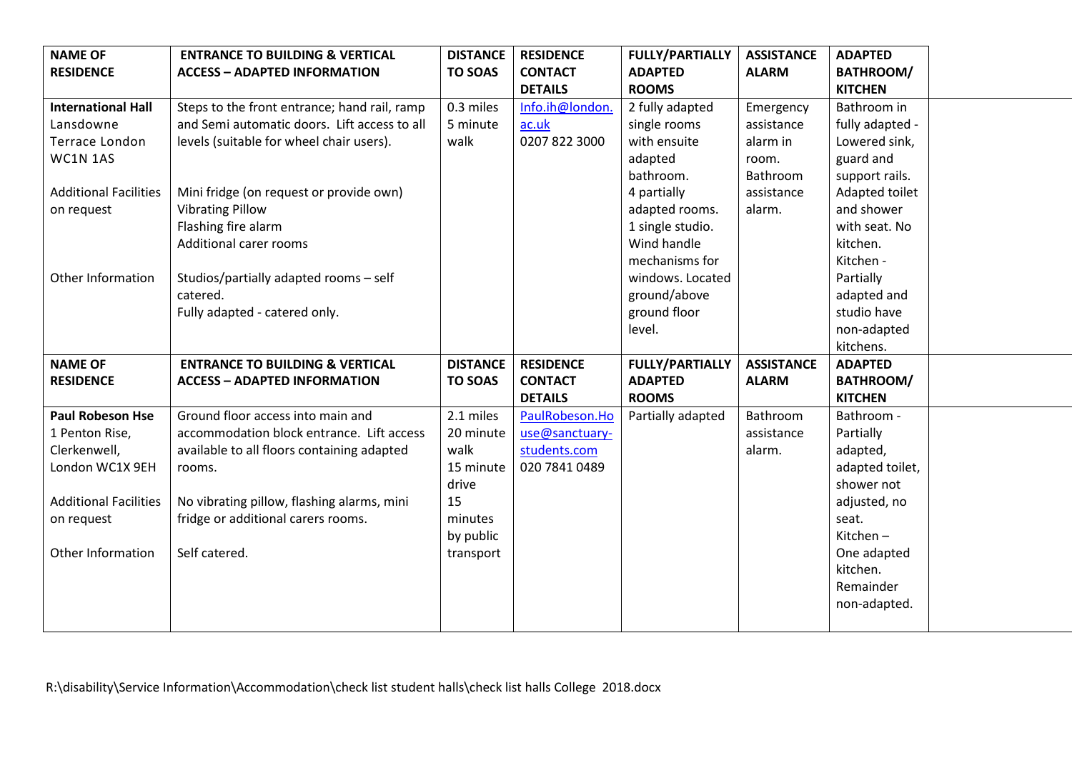| <b>NAME OF</b>               | <b>ENTRANCE TO BUILDING &amp; VERTICAL</b>   | <b>DISTANCE</b> | <b>RESIDENCE</b> | <b>FULLY/PARTIALLY</b> | <b>ASSISTANCE</b> | <b>ADAPTED</b>   |  |
|------------------------------|----------------------------------------------|-----------------|------------------|------------------------|-------------------|------------------|--|
| <b>RESIDENCE</b>             | <b>ACCESS - ADAPTED INFORMATION</b>          | <b>TO SOAS</b>  | <b>CONTACT</b>   | <b>ADAPTED</b>         | <b>ALARM</b>      | <b>BATHROOM/</b> |  |
|                              |                                              |                 | <b>DETAILS</b>   | <b>ROOMS</b>           |                   | <b>KITCHEN</b>   |  |
| <b>International Hall</b>    | Steps to the front entrance; hand rail, ramp | 0.3 miles       | Info.ih@london.  | 2 fully adapted        | Emergency         | Bathroom in      |  |
| Lansdowne                    | and Semi automatic doors. Lift access to all | 5 minute        | ac.uk            | single rooms           | assistance        | fully adapted -  |  |
| Terrace London               | levels (suitable for wheel chair users).     | walk            | 0207 822 3000    | with ensuite           | alarm in          | Lowered sink,    |  |
| WC1N 1AS                     |                                              |                 |                  | adapted                | room.             | guard and        |  |
|                              |                                              |                 |                  | bathroom.              | Bathroom          | support rails.   |  |
| <b>Additional Facilities</b> | Mini fridge (on request or provide own)      |                 |                  | 4 partially            | assistance        | Adapted toilet   |  |
| on request                   | <b>Vibrating Pillow</b>                      |                 |                  | adapted rooms.         | alarm.            | and shower       |  |
|                              | Flashing fire alarm                          |                 |                  | 1 single studio.       |                   | with seat. No    |  |
|                              | Additional carer rooms                       |                 |                  | Wind handle            |                   | kitchen.         |  |
|                              |                                              |                 |                  | mechanisms for         |                   | Kitchen -        |  |
| Other Information            | Studios/partially adapted rooms - self       |                 |                  | windows. Located       |                   | Partially        |  |
|                              | catered.                                     |                 |                  | ground/above           |                   | adapted and      |  |
|                              | Fully adapted - catered only.                |                 |                  | ground floor           |                   | studio have      |  |
|                              |                                              |                 |                  | level.                 |                   | non-adapted      |  |
|                              |                                              |                 |                  |                        |                   | kitchens.        |  |
| <b>NAME OF</b>               | <b>ENTRANCE TO BUILDING &amp; VERTICAL</b>   | <b>DISTANCE</b> | <b>RESIDENCE</b> | <b>FULLY/PARTIALLY</b> | <b>ASSISTANCE</b> | <b>ADAPTED</b>   |  |
| <b>RESIDENCE</b>             | <b>ACCESS - ADAPTED INFORMATION</b>          | <b>TO SOAS</b>  | <b>CONTACT</b>   | <b>ADAPTED</b>         | <b>ALARM</b>      | <b>BATHROOM/</b> |  |
|                              |                                              |                 | <b>DETAILS</b>   | <b>ROOMS</b>           |                   | <b>KITCHEN</b>   |  |
| <b>Paul Robeson Hse</b>      | Ground floor access into main and            | 2.1 miles       | PaulRobeson.Ho   | Partially adapted      | Bathroom          | Bathroom -       |  |
| 1 Penton Rise,               | accommodation block entrance. Lift access    | 20 minute       | use@sanctuary-   |                        | assistance        | Partially        |  |
| Clerkenwell,                 | available to all floors containing adapted   | walk            | students.com     |                        | alarm.            | adapted,         |  |
| London WC1X 9EH              | rooms.                                       | 15 minute       | 020 7841 0489    |                        |                   | adapted toilet,  |  |
|                              |                                              | drive           |                  |                        |                   | shower not       |  |
| <b>Additional Facilities</b> | No vibrating pillow, flashing alarms, mini   | 15              |                  |                        |                   | adjusted, no     |  |
| on request                   | fridge or additional carers rooms.           | minutes         |                  |                        |                   | seat.            |  |
|                              |                                              | by public       |                  |                        |                   | Kitchen $-$      |  |
| Other Information            | Self catered.                                | transport       |                  |                        |                   | One adapted      |  |
|                              |                                              |                 |                  |                        |                   | kitchen.         |  |
|                              |                                              |                 |                  |                        |                   | Remainder        |  |
|                              |                                              |                 |                  |                        |                   | non-adapted.     |  |
|                              |                                              |                 |                  |                        |                   |                  |  |

R:\disability\Service Information\Accommodation\check list student halls\check list halls College 2018.docx